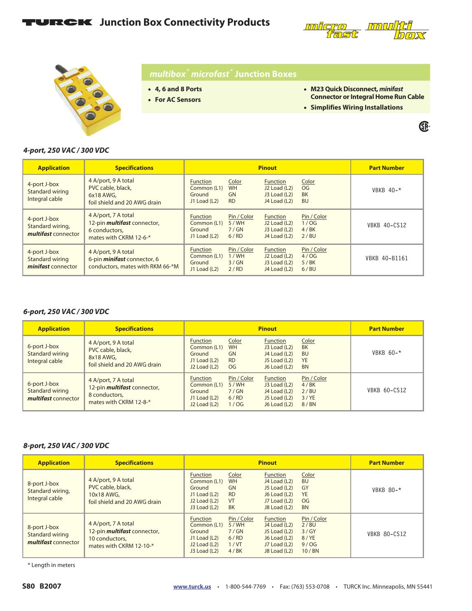## **TURCK** Junction Box Connectivity Products





### *multibox***®** *microfast* **® Junction Boxes**

- **4, 6 and 8 Ports**
- **For AC Sensors**

• **M23 Quick Disconnect,** *minifast* **Connector or Integral Home Run Cable**

®

• **Simplifies Wiring Installations**

#### *4-port, 250 VAC / 300 VDC*

| <b>Application</b>                                      | <b>Specifications</b>                                                                                | <b>Pinout</b>                                            |                                              |                                                                                          | <b>Part Number</b>                    |                     |
|---------------------------------------------------------|------------------------------------------------------------------------------------------------------|----------------------------------------------------------|----------------------------------------------|------------------------------------------------------------------------------------------|---------------------------------------|---------------------|
| 4-port J-box<br>Standard wiring<br>Integral cable       | 4 A/port, 9 A total<br>PVC cable, black,<br>6x18 AWG,<br>foil shield and 20 AWG drain                | <b>Function</b><br>Common (L1)<br>Ground<br>J1 Load (L2) | Color<br><b>WH</b><br><b>GN</b><br><b>RD</b> | <b>Function</b><br>J <sub>2</sub> Load (L <sub>2</sub> )<br>J3 Load (L2)<br>J4 Load (L2) | Color<br>OG<br><b>BK</b><br><b>BU</b> | VBKB $40-$ *        |
| 4-port J-box<br>Standard wiring,<br>multifast connector | 4 A/port, 7 A total<br>12-pin <i>multifast</i> connector,<br>6 conductors.<br>mates with CKRM 12-6-* | <b>Function</b><br>Common (L1)<br>Ground<br>J1 Load (L2) | Pin / Color<br>5/WH<br>7/GN<br>6/RD          | <b>Function</b><br>J <sub>2</sub> Load (L <sub>2</sub> )<br>J3 Load (L2)<br>J4 Load (L2) | Pin / Color<br>1/OG<br>4/BK<br>2/BU   | <b>VBKB 40-CS12</b> |
| 4-port J-box<br>Standard wiring<br>minifast connector   | 4 A/port, 9 A total<br>6-pin <i>minifast</i> connector, 6<br>conductors, mates with RKM 66-*M        | <b>Function</b><br>Common (L1)<br>Ground<br>J1 Load (L2) | Pin / Color<br>1/WH<br>3/GN<br>2/RD          | <b>Function</b><br>J <sub>2</sub> Load (L <sub>2</sub> )<br>J3 Load (L2)<br>J4 Load (L2) | Pin / Color<br>4/OG<br>5/BK<br>6/BU   | VBKB 40-B1161       |

#### *6-port, 250 VAC / 300 VDC*

| <b>Application</b>                                     | <b>Specifications</b>                                                                                | <b>Pinout</b>                                                                                     |                                                     |                                                                                     | <b>Part Number</b>                                        |                     |
|--------------------------------------------------------|------------------------------------------------------------------------------------------------------|---------------------------------------------------------------------------------------------------|-----------------------------------------------------|-------------------------------------------------------------------------------------|-----------------------------------------------------------|---------------------|
| 6-port J-box<br>Standard wiring<br>Integral cable      | 4 A/port, 9 A total<br>PVC cable, black,<br>8x18 AWG,<br>foil shield and 20 AWG drain                | <b>Function</b><br>Common (L1)<br>Ground<br>J1 Load (L2)<br>J <sub>2</sub> Load (L <sub>2</sub> ) | Color<br><b>WH</b><br><b>GN</b><br><b>RD</b><br>OG. | <b>Function</b><br>$J3$ Load (L2)<br>J4 Load (L2)<br>J5 Load (L2)<br>J6 Load (L2)   | Color<br><b>BK</b><br><b>BU</b><br><b>YE</b><br><b>BN</b> | VBKB $60 -$ *       |
| 6-port J-box<br>Standard wiring<br>multifast connector | 4 A/port, 7 A total<br>12-pin <i>multifast</i> connector,<br>8 conductors.<br>mates with CKRM 12-8-* | <b>Function</b><br>Common (L1)<br>Ground<br>J1 Load (L2)<br>J <sub>2</sub> Load (L <sub>2</sub> ) | Pin / Color<br>5/WH<br>7/GN<br>6/RD<br>1/OG         | <b>Function</b><br>J3 Load (L2)<br>J4 Load (L2)<br>J5 Load $(L2)$<br>J6 Load $(L2)$ | Pin / Color<br>4/BK<br>2/BU<br>3/YE<br>8/BN               | <b>VBKB 60-CS12</b> |

#### *8-port, 250 VAC / 300 VDC*

| <b>Application</b>                                     | <b>Specifications</b>                                                                                  | <b>Pinout</b>                                                                                  |                                                                 |                                                                                                 | <b>Part Number</b>                                                   |                     |
|--------------------------------------------------------|--------------------------------------------------------------------------------------------------------|------------------------------------------------------------------------------------------------|-----------------------------------------------------------------|-------------------------------------------------------------------------------------------------|----------------------------------------------------------------------|---------------------|
| 8-port J-box<br>Standard wiring,<br>Integral cable     | 4 A/port, 9 A total<br>PVC cable, black,<br>10x18 AWG,<br>foil shield and 20 AWG drain                 | <b>Function</b><br>Common (L1)<br>Ground<br>J1 Load $(L2)$<br>$J2$ Load $(L2)$<br>J3 Load (L2) | Color<br><b>WH</b><br><b>GN</b><br><b>RD</b><br>VT<br><b>BK</b> | <b>Function</b><br>J4 Load (L2)<br>J5 Load (L2)<br>J6 Load (L2)<br>J7 Load (L2)<br>J8 Load (L2) | Color<br><b>BU</b><br>GY<br><b>YE</b><br>O <sub>G</sub><br><b>BN</b> | VBKB $80 - *$       |
| 8-port J-box<br>Standard wiring<br>multifast connector | 4 A/port, 7 A total<br>12-pin <i>multifast</i> connector,<br>10 conductors.<br>mates with CKRM 12-10-* | <b>Function</b><br>Common (L1)<br>Ground<br>J1 Load $(L2)$<br>$J2$ Load $(L2)$<br>J3 Load (L2) | Pin / Color<br>5/WH<br>7/GN<br>6/RD<br>1/VT<br>4/BK             | <b>Function</b><br>J4 Load (L2)<br>J5 Load (L2)<br>J6 Load (L2)<br>J7 Load (L2)<br>J8 Load (L2) | Pin / Color<br>2/BU<br>3/GY<br>8/YE<br>9/OG<br>10/BN                 | <b>VBKB 80-CS12</b> |

\* Length in meters